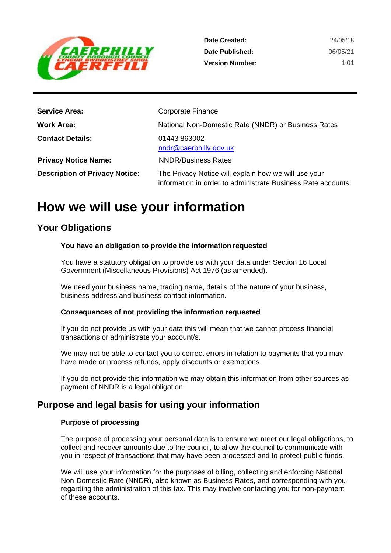

| Date Created:          | 24/05/18 |
|------------------------|----------|
| Date Published:        | 06/05/21 |
| <b>Version Number:</b> | 1.01     |

| <b>Service Area:</b>                  | <b>Corporate Finance</b>                                                                                             |
|---------------------------------------|----------------------------------------------------------------------------------------------------------------------|
| <b>Work Area:</b>                     | National Non-Domestic Rate (NNDR) or Business Rates                                                                  |
| <b>Contact Details:</b>               | 01443 863002<br>nndr@caerphilly.gov.uk                                                                               |
| <b>Privacy Notice Name:</b>           | <b>NNDR/Business Rates</b>                                                                                           |
| <b>Description of Privacy Notice:</b> | The Privacy Notice will explain how we will use your<br>information in order to administrate Business Rate accounts. |

## **How we will use your information**

## **Your Obligations**

#### **You have an obligation to provide the information requested**

You have a statutory obligation to provide us with your data under Section 16 Local Government (Miscellaneous Provisions) Act 1976 (as amended).

We need your business name, trading name, details of the nature of your business, business address and business contact information.

#### **Consequences of not providing the information requested**

If you do not provide us with your data this will mean that we cannot process financial transactions or administrate your account/s.

We may not be able to contact you to correct errors in relation to payments that you may have made or process refunds, apply discounts or exemptions.

If you do not provide this information we may obtain this information from other sources as payment of NNDR is a legal obligation.

### **Purpose and legal basis for using your information**

#### **Purpose of processing**

The purpose of processing your personal data is to ensure we meet our legal obligations, to collect and recover amounts due to the council, to allow the council to communicate with you in respect of transactions that may have been processed and to protect public funds.

We will use your information for the purposes of billing, collecting and enforcing National Non-Domestic Rate (NNDR), also known as Business Rates, and corresponding with you regarding the administration of this tax. This may involve contacting you for non-payment of these accounts.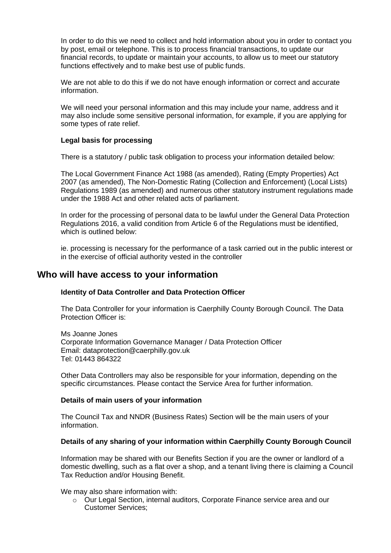In order to do this we need to collect and hold information about you in order to contact you by post, email or telephone. This is to process financial transactions, to update our financial records, to update or maintain your accounts, to allow us to meet our statutory functions effectively and to make best use of public funds.

We are not able to do this if we do not have enough information or correct and accurate information.

We will need your personal information and this may include your name, address and it may also include some sensitive personal information, for example, if you are applying for some types of rate relief.

#### **Legal basis for processing**

There is a statutory / public task obligation to process your information detailed below:

The Local Government Finance Act 1988 (as amended), Rating (Empty Properties) Act 2007 (as amended), The Non-Domestic Rating (Collection and Enforcement) (Local Lists) Regulations 1989 (as amended) and numerous other statutory instrument regulations made under the 1988 Act and other related acts of parliament.

In order for the processing of personal data to be lawful under the General Data Protection Regulations 2016, a valid condition from Article 6 of the Regulations must be identified, which is outlined below:

ie. processing is necessary for the performance of a task carried out in the public interest or in the exercise of official authority vested in the controller

#### **Who will have access to your information**

#### **Identity of Data Controller and Data Protection Officer**

The Data Controller for your information is Caerphilly County Borough Council. The Data Protection Officer is:

Ms Joanne Jones Corporate Information Governance Manager / Data Protection Officer Email: [dataprotection@caerphilly.gov.uk](mailto:dataprotection@caerphilly.gov.uk) Tel: 01443 864322

Other Data Controllers may also be responsible for your information, depending on the specific circumstances. Please contact the Service Area for further information.

#### **Details of main users of your information**

The Council Tax and NNDR (Business Rates) Section will be the main users of your information.

#### **Details of any sharing of your information within Caerphilly County Borough Council**

Information may be shared with our Benefits Section if you are the owner or landlord of a domestic dwelling, such as a flat over a shop, and a tenant living there is claiming a Council Tax Reduction and/or Housing Benefit.

#### We may also share information with:

o Our Legal Section, internal auditors, Corporate Finance service area and our Customer Services;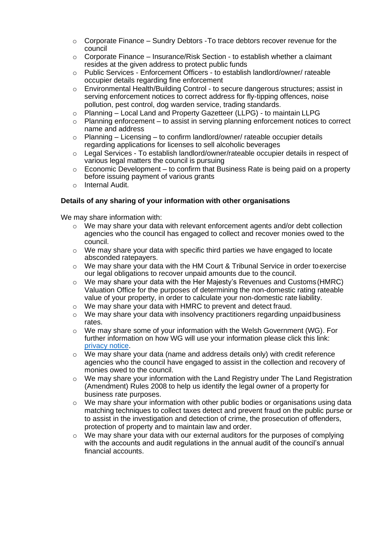- $\circ$  Corporate Finance Sundry Debtors To trace debtors recover revenue for the council
- $\circ$  Corporate Finance Insurance/Risk Section to establish whether a claimant resides at the given address to protect public funds
- o Public Services Enforcement Officers to establish landlord/owner/ rateable occupier details regarding fine enforcement
- o Environmental Health/Building Control to secure dangerous structures; assist in serving enforcement notices to correct address for fly-tipping offences, noise pollution, pest control, dog warden service, trading standards.
- o Planning Local Land and Property Gazetteer (LLPG) to maintain LLPG
- $\circ$  Planning enforcement to assist in serving planning enforcement notices to correct name and address
- $\circ$  Planning Licensing to confirm landlord/owner/ rateable occupier details regarding applications for licenses to sell alcoholic beverages
- $\circ$  Legal Services To establish landlord/owner/rateable occupier details in respect of various legal matters the council is pursuing
- $\circ$  Economic Development to confirm that Business Rate is being paid on a property before issuing payment of various grants
- o Internal Audit.

#### **Details of any sharing of your information with other organisations**

We may share information with:

- $\circ$  We may share your data with relevant enforcement agents and/or debt collection agencies who the council has engaged to collect and recover monies owed to the council.
- $\circ$  We may share your data with specific third parties we have engaged to locate absconded ratepayers.
- $\circ$  We may share your data with the HM Court & Tribunal Service in order to exercise our legal obligations to recover unpaid amounts due to the council.
- $\circ$  We may share your data with the Her Majesty's Revenues and Customs (HMRC) Valuation Office for the purposes of determining the non-domestic rating rateable value of your property, in order to calculate your non-domestic rate liability.
- o We may share your data with HMRC to prevent and detect fraud.
- o We may share your data with insolvency practitioners regarding unpaidbusiness rates.
- $\circ$  We may share some of your information with the Welsh Government (WG). For further information on how WG will use your information please click this link: [privacy notice.](https://gov.wales/non-domestic-rates-billing-information-privacy-notice)
- $\circ$  We may share your data (name and address details only) with credit reference agencies who the council have engaged to assist in the collection and recovery of monies owed to the council.
- o We may share your information with the Land Registry under The Land Registration (Amendment) Rules 2008 to help us identify the legal owner of a property for business rate purposes.
- $\circ$  We may share your information with other public bodies or organisations using data matching techniques to collect taxes detect and prevent fraud on the public purse or to assist in the investigation and detection of crime, the prosecution of offenders, protection of property and to maintain law and order.
- $\circ$  We may share your data with our external auditors for the purposes of complying with the accounts and audit regulations in the annual audit of the council's annual financial accounts.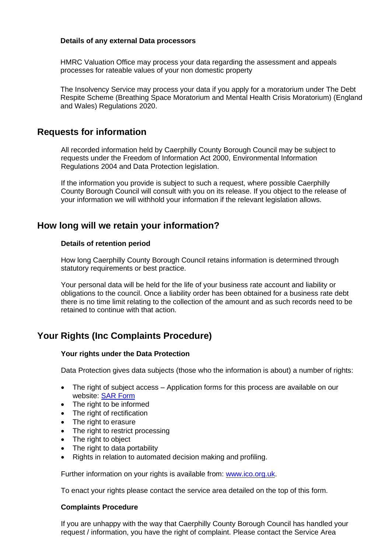#### **Details of any external Data processors**

HMRC Valuation Office may process your data regarding the assessment and appeals processes for rateable values of your non domestic property

The Insolvency Service may process your data if you apply for a moratorium under The Debt Respite Scheme (Breathing Space Moratorium and Mental Health Crisis Moratorium) (England and Wales) Regulations 2020.

## **Requests for information**

All recorded information held by Caerphilly County Borough Council may be subject to requests under the Freedom of Information Act 2000, Environmental Information Regulations 2004 and Data Protection legislation.

If the information you provide is subject to such a request, where possible Caerphilly County Borough Council will consult with you on its release. If you object to the release of your information we will withhold your information if the relevant legislation allows.

## **How long will we retain your information?**

#### **Details of retention period**

How long Caerphilly County Borough Council retains information is determined through statutory requirements or best practice.

Your personal data will be held for the life of your business rate account and liability or obligations to the council. Once a liability order has been obtained for a business rate debt there is no time limit relating to the collection of the amount and as such records need to be retained to continue with that action.

## **Your Rights (Inc Complaints Procedure)**

#### **Your rights under the Data Protection**

Data Protection gives data subjects (those who the information is about) a number of rights:

- The right of subject access Application forms for this process are available on our website: SAR [Form](http://www.caerphilly.gov.uk/CaerphillyDocs/Council-and-democracy/sar_form.aspx)
- The right to be informed
- The right of rectification
- The right to erasure
- The right to restrict processing
- The right to object
- The right to data portability
- Rights in relation to automated decision making and profiling.

Further information on your rights is available from: [www.ico.org.uk.](http://www.ico.org.uk/)

To enact your rights please contact the service area detailed on the top of this form.

#### **Complaints Procedure**

If you are unhappy with the way that Caerphilly County Borough Council has handled your request / information, you have the right of complaint. Please contact the Service Area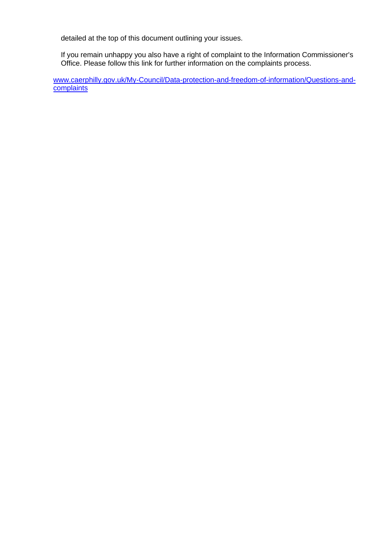detailed at the top of this document outlining your issues.

If you remain unhappy you also have a right of complaint to the Information Commissioner's Office. Please follow this link for further information on the complaints process.

[www.caerphilly.gov.uk/My-Council/Data-protection-and-freedom-of-information/Questions-](http://www.caerphilly.gov.uk/My-Council/Data-protection-and-freedom-of-information/Questions-)[and](http://www.caerphilly.gov.uk/My-Council/Data-protection-and-freedom-of-information/Questions-and-complaints)**[complaints](http://www.caerphilly.gov.uk/My-Council/Data-protection-and-freedom-of-information/Questions-and-complaints)**